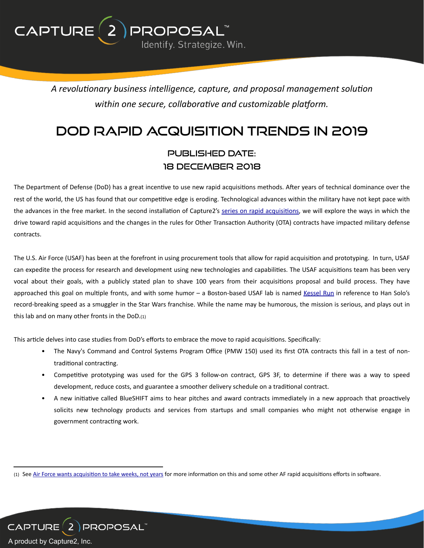$CAPTURE(2)$ DROPOSAL Identify. Strategize. Win.

> A revolutionary business intelligence, capture, and proposal management solution within one secure, collaborative and customizable platform.

# DoD Rapid Acquisition Trends in 2019

## published date: 18 DECEMBER 2018

The Department of Defense (DoD) has a great incentive to use new rapid acquisitions methods. After years of technical dominance over the rest of the world, the US has found that our competitive edge is eroding. Technological advances within the military have not kept pace with the advances in the free market. In the second installation of Capture2's series on rapid acquisitions, we will explore the ways in which the drive toward rapid acquisitions and the changes in the rules for Other Transaction Authority (OTA) contracts have impacted military defense contracts. 

The U.S. Air Force (USAF) has been at the forefront in using procurement tools that allow for rapid acquisition and prototyping. In turn, USAF can expedite the process for research and development using new technologies and capabilities. The USAF acquisitions team has been very vocal about their goals, with a publicly stated plan to shave 100 years from their acquisitions proposal and build process. They have approached this goal on multiple fronts, and with some humor - a Boston-based USAF lab is named Kessel Run in reference to Han Solo's record-breaking speed as a smuggler in the Star Wars franchise. While the name may be humorous, the mission is serious, and plays out in this lab and on many other fronts in the  $DoD.(1)$ 

This article delves into case studies from DoD's efforts to embrace the move to rapid acquisitions. Specifically:

- The Navy's Command and Control Systems Program Office (PMW 150) used its first OTA contracts this fall in a test of nontraditional contracting.
- Competitive prototyping was used for the GPS 3 follow-on contract, GPS 3F, to determine if there was a way to speed development, reduce costs, and guarantee a smoother delivery schedule on a traditional contract.
- A new initiative called BlueSHIFT aims to hear pitches and award contracts immediately in a new approach that proactively solicits new technology products and services from startups and small companies who might not otherwise engage in government contracting work.



<sup>(1)</sup> See Air Force wants acquisition to take weeks, not years for more information on this and some other AF rapid acquisitions efforts in software.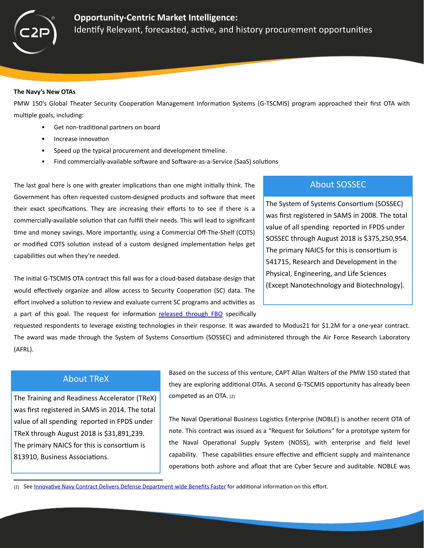

#### **The Navy's New OTAs**

PMW 150's Global Theater Security Cooperation Management Information Systems (G-TSCMIS) program approached their first OTA with multiple goals, including:

- Get non-traditional partners on board
- Increase innovation
- Speed up the typical procurement and development timeline.
- Find commercially-available software and Software-as-a-Service (SaaS) solutions

The last goal here is one with greater implications than one might initially think. The Government has often requested custom-designed products and software that meet their exact specifications. They are increasing their efforts to to see if there is a commercially-available solution that can fulfill their needs. This will lead to significant time and money savings. More importantly, using a Commercial Off-The-Shelf (COTS) or modified COTS solution instead of a custom designed implementation helps get capabilities out when they're needed.

The initial G-TSCMIS OTA contract this fall was for a cloud-based database design that would effectively organize and allow access to Security Cooperation (SC) data. The effort involved a solution to review and evaluate current SC programs and activities as a part of this goal. The request for information released through FBO specifically

### **About SOSSEC**

The System of Systems Consortium (SOSSEC) was first registered in SAMS in 2008. The total value of all spending reported in FPDS under SOSSEC through August 2018 is \$375,250,954. The primary NAICS for this is consortium is 541715, Research and Development in the Physical, Engineering, and Life Sciences (Except Nanotechnology and Biotechnology).

requested respondents to leverage existing technologies in their response. It was awarded to Modus21 for \$1.2M for a one-year contract. The award was made through the System of Systems Consortium (SOSSEC) and administered through the Air Force Research Laboratory (AFRL). 

### **About TReX**

The Training and Readiness Accelerator (TReX) was first registered in SAMS in 2014. The total value of all spending reported in FPDS under TReX through August 2018 is \$31,891,239. The primary NAICS for this is consortium is 813910, Business Associations.

Based on the success of this venture, CAPT Allan Walters of the PMW 150 stated that they are exploring additional OTAs. A second G-TSCMIS opportunity has already been competed as an OTA. (2)

The Naval Operational Business Logistics Enterprise (NOBLE) is another recent OTA of note. This contract was issued as a "Request for Solutions" for a prototype system for the Naval Operational Supply System (NOSS), with enterprise and field level capability. These capabilities ensure effective and efficient supply and maintenance operations both ashore and afloat that are Cyber Secure and auditable. NOBLE was

<sup>(2)</sup> See Innovative Navy Contract Delivers Defense Department-wide Benefits Faster for additional information on this effort.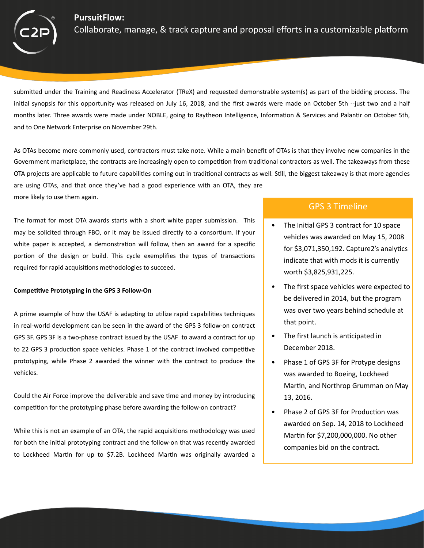### **PursuitFlow:**



Collaborate, manage, & track capture and proposal efforts in a customizable platform

submitted under the Training and Readiness Accelerator (TReX) and requested demonstrable system(s) as part of the bidding process. The initial synopsis for this opportunity was released on July 16, 2018, and the first awards were made on October 5th --just two and a half months later. Three awards were made under NOBLE, going to Raytheon Intelligence, Information & Services and Palantir on October 5th, and to One Network Enterprise on November 29th.

As OTAs become more commonly used, contractors must take note. While a main benefit of OTAs is that they involve new companies in the Government marketplace, the contracts are increasingly open to competition from traditional contractors as well. The takeaways from these OTA projects are applicable to future capabilities coming out in traditional contracts as well. Still, the biggest takeaway is that more agencies are using OTAs, and that once they've had a good experience with an OTA, they are more likely to use them again.

The format for most OTA awards starts with a short white paper submission. This may be solicited through FBO, or it may be issued directly to a consortium. If your white paper is accepted, a demonstration will follow, then an award for a specific portion of the design or build. This cycle exemplifies the types of transactions required for rapid acquisitions methodologies to succeed.

#### **Competitive Prototyping in the GPS 3 Follow-On**

A prime example of how the USAF is adapting to utilize rapid capabilities techniques in real-world development can be seen in the award of the GPS 3 follow-on contract GPS 3F. GPS 3F is a two-phase contract issued by the USAF to award a contract for up to 22 GPS 3 production space vehicles. Phase 1 of the contract involved competitive prototyping, while Phase 2 awarded the winner with the contract to produce the vehicles. 

Could the Air Force improve the deliverable and save time and money by introducing competition for the prototyping phase before awarding the follow-on contract?

While this is not an example of an OTA, the rapid acquisitions methodology was used for both the initial prototyping contract and the follow-on that was recently awarded to Lockheed Martin for up to  $$7.2B$ . Lockheed Martin was originally awarded a

### GPS 3 Timeline

- The Initial GPS 3 contract for 10 space vehicles was awarded on May 15, 2008 for  $$3,071,350,192$ . Capture2's analytics indicate that with mods it is currently worth \$3,825,931,225.
- The first space vehicles were expected to be delivered in 2014, but the program was over two years behind schedule at that point.
- The first launch is anticipated in December 2018.
- Phase 1 of GPS 3F for Protype designs was awarded to Boeing, Lockheed Martin, and Northrop Grumman on May 13, 2016.
- Phase 2 of GPS 3F for Production was awarded on Sep. 14, 2018 to Lockheed Martin for \$7,200,000,000. No other companies bid on the contract.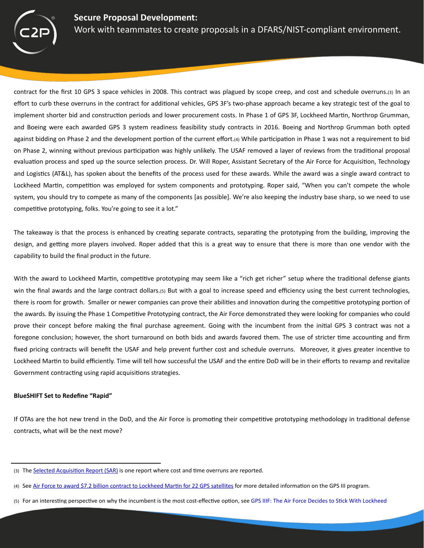

contract for the first 10 GPS 3 space vehicles in 2008. This contract was plagued by scope creep, and cost and schedule overruns.(3) In an effort to curb these overruns in the contract for additional vehicles, GPS 3F's two-phase approach became a key strategic test of the goal to implement shorter bid and construction periods and lower procurement costs. In Phase 1 of GPS 3F, Lockheed Martin, Northrop Grumman, and Boeing were each awarded GPS 3 system readiness feasibility study contracts in 2016. Boeing and Northrop Grumman both opted against bidding on Phase 2 and the development portion of the current effort.(4) While participation in Phase 1 was not a requirement to bid on Phase 2, winning without previous participation was highly unlikely. The USAF removed a layer of reviews from the traditional proposal evaluation process and sped up the source selection process. Dr. Will Roper, Assistant Secretary of the Air Force for Acquisition, Technology and Logistics (AT&L), has spoken about the benefits of the process used for these awards. While the award was a single award contract to Lockheed Martin, competition was employed for system components and prototyping. Roper said, "When you can't compete the whole system, you should try to compete as many of the components [as possible]. We're also keeping the industry base sharp, so we need to use competitive prototyping, folks. You're going to see it a lot."

The takeaway is that the process is enhanced by creating separate contracts, separating the prototyping from the building, improving the design, and getting more players involved. Roper added that this is a great way to ensure that there is more than one vendor with the capability to build the final product in the future.

With the award to Lockheed Martin, competitive prototyping may seem like a "rich get richer" setup where the traditional defense giants win the final awards and the large contract dollars.(5) But with a goal to increase speed and efficiency using the best current technologies, there is room for growth. Smaller or newer companies can prove their abilities and innovation during the competitive prototyping portion of the awards. By issuing the Phase 1 Competitive Prototyping contract, the Air Force demonstrated they were looking for companies who could prove their concept before making the final purchase agreement. Going with the incumbent from the initial GPS 3 contract was not a foregone conclusion; however, the short turnaround on both bids and awards favored them. The use of stricter time accounting and firm fixed pricing contracts will benefit the USAF and help prevent further cost and schedule overruns. Moreover, it gives greater incentive to Lockheed Martin to build efficiently. Time will tell how successful the USAF and the entire DoD will be in their efforts to revamp and revitalize Government contracting using rapid acquisitions strategies.

#### **BlueSHIFT Set to Redefine "Rapid"**

If OTAs are the hot new trend in the DoD, and the Air Force is promoting their competitive prototyping methodology in traditional defense contracts, what will be the next move?

<sup>(3)</sup> The Selected Acquisition Report (SAR) is one report where cost and time overruns are reported.

<sup>(4)</sup> See Air Force to award \$7.2 billion contract to Lockheed Martin for 22 GPS satellites for more detailed information on the GPS III program.

<sup>(5)</sup> For an interesting perspective on why the incumbent is the most cost-effective option, see GPS IIIF: The Air Force Decides to Stick With Lockheed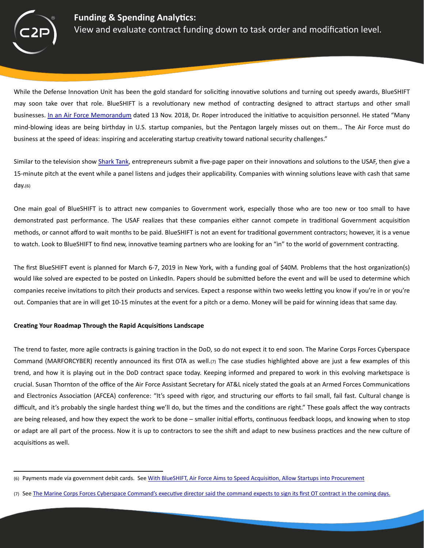

While the Defense Innovation Unit has been the gold standard for soliciting innovative solutions and turning out speedy awards, BlueSHIFT may soon take over that role. BlueSHIFT is a revolutionary new method of contracting designed to attract startups and other small businesses. In an Air Force Memorandum dated 13 Nov. 2018, Dr. Roper introduced the initiative to acquisition personnel. He stated "Many mind-blowing ideas are being birthday in U.S. startup companies, but the Pentagon largely misses out on them... The Air Force must do business at the speed of ideas: inspiring and accelerating startup creativity toward national security challenges."

Similar to the television show Shark Tank, entrepreneurs submit a five-page paper on their innovations and solutions to the USAF, then give a 15-minute pitch at the event while a panel listens and judges their applicability. Companies with winning solutions leave with cash that same day.(6) 

One main goal of BlueSHIFT is to attract new companies to Government work, especially those who are too new or too small to have demonstrated past performance. The USAF realizes that these companies either cannot compete in traditional Government acquisition methods, or cannot afford to wait months to be paid. BlueSHIFT is not an event for traditional government contractors; however, it is a venue to watch. Look to BlueSHIFT to find new, innovative teaming partners who are looking for an "in" to the world of government contracting.

The first BlueSHIFT event is planned for March 6-7, 2019 in New York, with a funding goal of \$40M. Problems that the host organization(s) would like solved are expected to be posted on LinkedIn. Papers should be submitted before the event and will be used to determine which companies receive invitations to pitch their products and services. Expect a response within two weeks letting you know if you're in or you're out. Companies that are in will get 10-15 minutes at the event for a pitch or a demo. Money will be paid for winning ideas that same day.

### **Creating Your Roadmap Through the Rapid Acquisitions Landscape**

The trend to faster, more agile contracts is gaining traction in the DoD, so do not expect it to end soon. The Marine Corps Forces Cyberspace Command (MARFORCYBER) recently announced its first OTA as well.(7) The case studies highlighted above are just a few examples of this trend, and how it is playing out in the DoD contract space today. Keeping informed and prepared to work in this evolving marketspace is crucial. Susan Thornton of the office of the Air Force Assistant Secretary for AT&L nicely stated the goals at an Armed Forces Communications and Electronics Association (AFCEA) conference: "It's speed with rigor, and structuring our efforts to fail small, fail fast. Cultural change is difficult, and it's probably the single hardest thing we'll do, but the times and the conditions are right." These goals affect the way contracts are being released, and how they expect the work to be done – smaller initial efforts, continuous feedback loops, and knowing when to stop or adapt are all part of the process. Now it is up to contractors to see the shift and adapt to new business practices and the new culture of acquisitions as well.

<sup>(6)</sup> Payments made via government debit cards. See With BlueSHIFT, Air Force Aims to Speed Acquisition, Allow Startups into Procurement

<sup>(7)</sup> See The Marine Corps Forces Cyberspace Command's executive director said the command expects to sign its first OT contract in the coming days.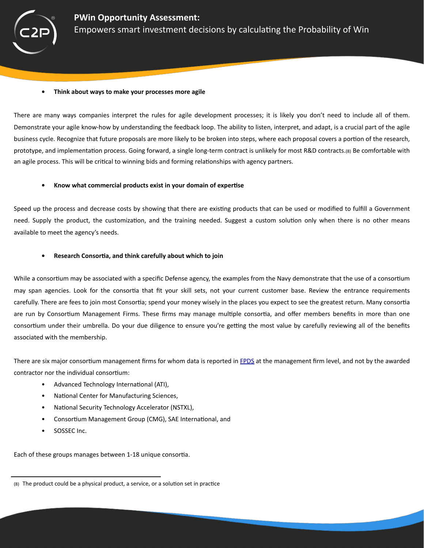

#### **•** Think about ways to make your processes more agile

There are many ways companies interpret the rules for agile development processes; it is likely you don't need to include all of them. Demonstrate your agile know-how by understanding the feedback loop. The ability to listen, interpret, and adapt, is a crucial part of the agile business cycle. Recognize that future proposals are more likely to be broken into steps, where each proposal covers a portion of the research, prototype, and implementation process. Going forward, a single long-term contract is unlikely for most R&D contracts.(8) Be comfortable with an agile process. This will be critical to winning bids and forming relationships with agency partners.

### • Know what commercial products exist in your domain of expertise

Speed up the process and decrease costs by showing that there are existing products that can be used or modified to fulfill a Government need. Supply the product, the customization, and the training needed. Suggest a custom solution only when there is no other means available to meet the agency's needs.

### **Research Consortia, and think carefully about which to join**

While a consortium may be associated with a specific Defense agency, the examples from the Navy demonstrate that the use of a consortium may span agencies. Look for the consortia that fit your skill sets, not your current customer base. Review the entrance requirements carefully. There are fees to join most Consortia; spend your money wisely in the places you expect to see the greatest return. Many consortia are run by Consortium Management Firms. These firms may manage multiple consortia, and offer members benefits in more than one consortium under their umbrella. Do your due diligence to ensure you're getting the most value by carefully reviewing all of the benefits associated with the membership.

There are six major consortium management firms for whom data is reported in [FPDS](https://www.fpds.gov/) at the management firm level, and not by the awarded contractor nor the individual consortium:

- Advanced Technology International (ATI),
- National Center for Manufacturing Sciences,
- National Security Technology Accelerator (NSTXL),
- Consortium Management Group (CMG), SAE International, and
- SOSSEC Inc.

Each of these groups manages between 1-18 unique consortia.

<sup>(8)</sup> The product could be a physical product, a service, or a solution set in practice